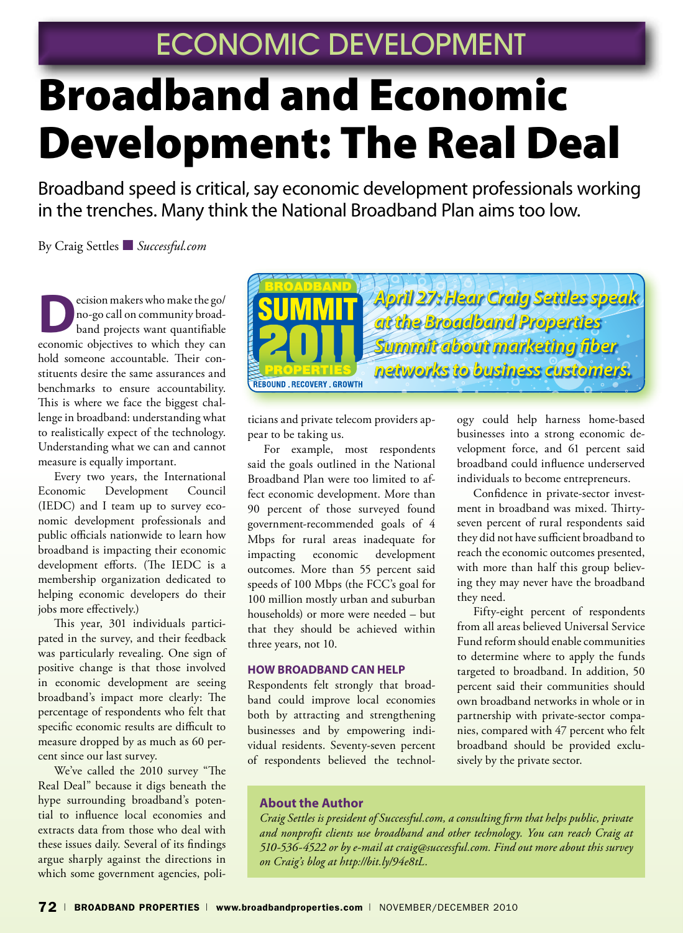# Broadband and Economic Development: The Real Deal

Broadband speed is critical, say economic development professionals working in the trenches. Many think the National Broadband Plan aims too low.

By Craig Settles ■ *Successful.com*

**D**ecision makers who make the go/<br>
no-go call on community broad-<br>
band projects want quantifiable no-go call on community broadeconomic objectives to which they can hold someone accountable. Their constituents desire the same assurances and benchmarks to ensure accountability. This is where we face the biggest challenge in broadband: understanding what to realistically expect of the technology. Understanding what we can and cannot measure is equally important.

Every two years, the International Economic Development Council (IEDC) and I team up to survey economic development professionals and public officials nationwide to learn how broadband is impacting their economic development efforts. (The IEDC is a membership organization dedicated to helping economic developers do their jobs more effectively.)

This year, 301 individuals participated in the survey, and their feedback was particularly revealing. One sign of positive change is that those involved in economic development are seeing broadband's impact more clearly: The percentage of respondents who felt that specific economic results are difficult to measure dropped by as much as 60 percent since our last survey.

We've called the 2010 survey "The Real Deal" because it digs beneath the hype surrounding broadband's potential to influence local economies and extracts data from those who deal with these issues daily. Several of its findings argue sharply against the directions in which some government agencies, poli-



ticians and private telecom providers appear to be taking us.

For example, most respondents said the goals outlined in the National Broadband Plan were too limited to affect economic development. More than 90 percent of those surveyed found government-recommended goals of 4 Mbps for rural areas inadequate for impacting economic development outcomes. More than 55 percent said speeds of 100 Mbps (the FCC's goal for 100 million mostly urban and suburban households) or more were needed – but that they should be achieved within three years, not 10.

#### **how Broadband can help**

Respondents felt strongly that broadband could improve local economies both by attracting and strengthening businesses and by empowering individual residents. Seventy-seven percent of respondents believed the technol-

ogy could help harness home-based businesses into a strong economic development force, and 61 percent said broadband could influence underserved individuals to become entrepreneurs.

Confidence in private-sector investment in broadband was mixed. Thirtyseven percent of rural respondents said they did not have sufficient broadband to reach the economic outcomes presented, with more than half this group believing they may never have the broadband they need.

Fifty-eight percent of respondents from all areas believed Universal Service Fund reform should enable communities to determine where to apply the funds targeted to broadband. In addition, 50 percent said their communities should own broadband networks in whole or in partnership with private-sector companies, compared with 47 percent who felt broadband should be provided exclusively by the private sector.

#### **About the Author**

*Craig Settles is president of Successful.com, a consulting firm that helps public, private and nonprofit clients use broadband and other technology. You can reach Craig at 510-536-4522 or by e-mail at craig@successful.com. Find out more about this survey on Craig's blog at http://bit.ly/94e8tL.*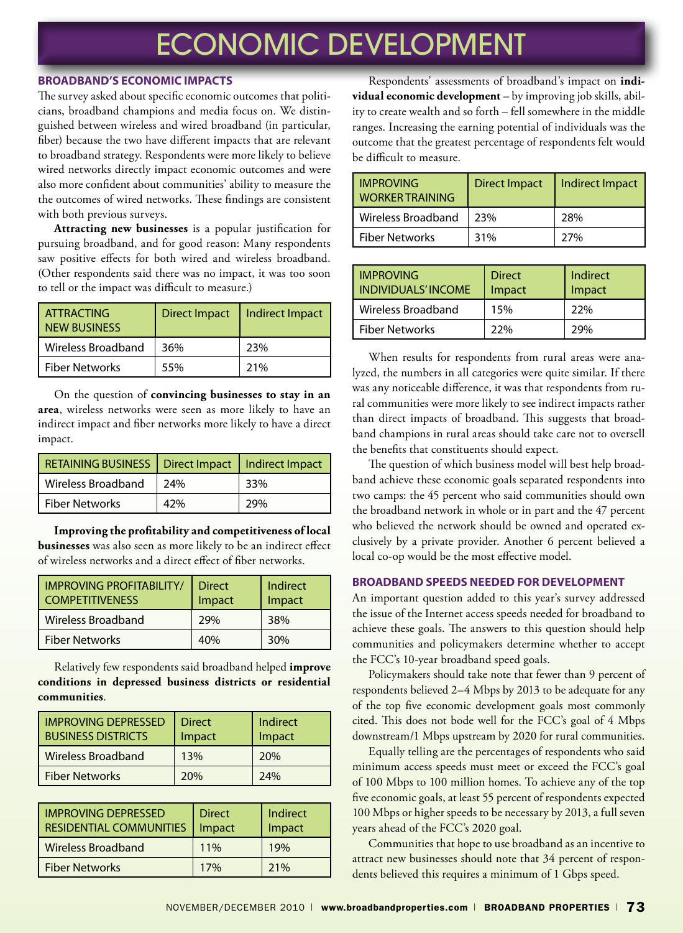#### **broadband's Economic Impacts**

The survey asked about specific economic outcomes that politicians, broadband champions and media focus on. We distinguished between wireless and wired broadband (in particular, fiber) because the two have different impacts that are relevant to broadband strategy. Respondents were more likely to believe wired networks directly impact economic outcomes and were also more confident about communities' ability to measure the the outcomes of wired networks. These findings are consistent with both previous surveys.

**Attracting new businesses** is a popular justification for pursuing broadband, and for good reason: Many respondents saw positive effects for both wired and wireless broadband. (Other respondents said there was no impact, it was too soon to tell or the impact was difficult to measure.)

| I ATTRACTING<br><b>NEW BUSINESS</b> |     | Direct Impact   Indirect Impact |
|-------------------------------------|-----|---------------------------------|
| Wireless Broadband                  | 36% | 23%                             |
| <b>Fiber Networks</b>               | 55% | 21%                             |

On the question of **convincing businesses to stay in an area**, wireless networks were seen as more likely to have an indirect impact and fiber networks more likely to have a direct impact.

| RETAINING BUSINESS   Direct Impact   Indirect Impact |     |     |
|------------------------------------------------------|-----|-----|
| Wireless Broadband                                   | 24% | 33% |
| Fiber Networks                                       | 42% | 29% |

**Improving the profitability and competitiveness of local businesses** was also seen as more likely to be an indirect effect of wireless networks and a direct effect of fiber networks.

| <b>IMPROVING PROFITABILITY/</b><br><b>COMPETITIVENESS</b> | <b>Direct</b><br>Impact | Indirect<br>Impact |
|-----------------------------------------------------------|-------------------------|--------------------|
| Wireless Broadband                                        | 29%                     | 38%                |
| <b>Fiber Networks</b>                                     | 40%                     | 30%                |

Relatively few respondents said broadband helped **improve conditions in depressed business districts or residential communities**.

| l Improving Depressed<br><b>BUSINESS DISTRICTS</b> | <b>Direct</b><br>Impact | Indirect<br>Impact |
|----------------------------------------------------|-------------------------|--------------------|
| l Wireless Broadband                               | 13%                     | 20%                |
| Fiber Networks                                     | 20%                     | 74%                |

| <b>IMPROVING DEPRESSED</b><br><b>RESIDENTIAL COMMUNITIES</b> | <b>Direct</b><br>Impact | Indirect<br>Impact |
|--------------------------------------------------------------|-------------------------|--------------------|
| Wireless Broadband                                           | 11%                     | 19%                |
| <b>Fiber Networks</b>                                        | 17%                     | 21%                |

Respondents' assessments of broadband's impact on **individual economic development** – by improving job skills, ability to create wealth and so forth – fell somewhere in the middle ranges. Increasing the earning potential of individuals was the outcome that the greatest percentage of respondents felt would be difficult to measure.

| <b>IMPROVING</b><br><b>WORKER TRAINING</b> | <b>Direct Impact</b> | Indirect Impact |
|--------------------------------------------|----------------------|-----------------|
| Wireless Broadband                         | 23%                  | 28%             |
| <b>Fiber Networks</b>                      | 31%                  | 27%             |

| <b>IMPROVING</b><br><b>I INDIVIDUALS'INCOME</b> | <b>Direct</b><br>Impact | Indirect<br>Impact |
|-------------------------------------------------|-------------------------|--------------------|
| Wireless Broadband                              | 15%                     | 22%                |
| l Fiber Networks                                | 22%                     | 29%                |

When results for respondents from rural areas were analyzed, the numbers in all categories were quite similar. If there was any noticeable difference, it was that respondents from rural communities were more likely to see indirect impacts rather than direct impacts of broadband. This suggests that broadband champions in rural areas should take care not to oversell the benefits that constituents should expect.

The question of which business model will best help broadband achieve these economic goals separated respondents into two camps: the 45 percent who said communities should own the broadband network in whole or in part and the 47 percent who believed the network should be owned and operated exclusively by a private provider. Another 6 percent believed a local co-op would be the most effective model.

#### **Broadband Speeds needed for Development**

An important question added to this year's survey addressed the issue of the Internet access speeds needed for broadband to achieve these goals. The answers to this question should help communities and policymakers determine whether to accept the FCC's 10-year broadband speed goals.

Policymakers should take note that fewer than 9 percent of respondents believed 2–4 Mbps by 2013 to be adequate for any of the top five economic development goals most commonly cited. This does not bode well for the FCC's goal of 4 Mbps downstream/1 Mbps upstream by 2020 for rural communities.

Equally telling are the percentages of respondents who said minimum access speeds must meet or exceed the FCC's goal of 100 Mbps to 100 million homes. To achieve any of the top five economic goals, at least 55 percent of respondents expected 100 Mbps or higher speeds to be necessary by 2013, a full seven years ahead of the FCC's 2020 goal.

Communities that hope to use broadband as an incentive to attract new businesses should note that 34 percent of respondents believed this requires a minimum of 1 Gbps speed.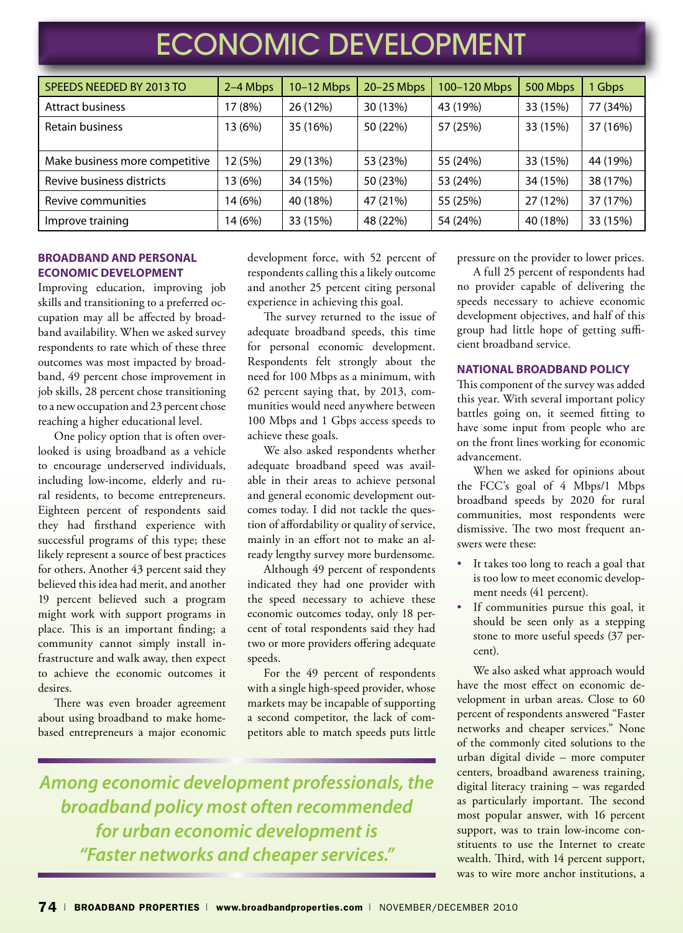| SPEEDS NEEDED BY 2013 TO       | 2-4 Mbps | 10-12 Mbps | 20-25 Mbps | 100-120 Mbps | 500 Mbps | 1 Gbps   |
|--------------------------------|----------|------------|------------|--------------|----------|----------|
| <b>Attract business</b>        | 17 (8%)  | 26 (12%)   | 30 (13%)   | 43 (19%)     | 33 (15%) | 77 (34%) |
| <b>Retain business</b>         | 13 (6%)  | 35 (16%)   | 50 (22%)   | 57 (25%)     | 33 (15%) | 37 (16%) |
|                                |          |            |            |              |          |          |
| Make business more competitive | 12 (5%)  | 29 (13%)   | 53 (23%)   | 55 (24%)     | 33 (15%) | 44 (19%) |
| Revive business districts      | 13 (6%)  | 34 (15%)   | 50 (23%)   | 53 (24%)     | 34 (15%) | 38 (17%) |
| Revive communities             | 14 (6%)  | 40 (18%)   | 47 (21%)   | 55 (25%)     | 27 (12%) | 37 (17%) |
| Improve training               | 14 (6%)  | 33 (15%)   | 48 (22%)   | 54 (24%)     | 40 (18%) | 33 (15%) |

#### **Broadband and Personal Economic Development**

Improving education, improving job skills and transitioning to a preferred occupation may all be affected by broadband availability. When we asked survey respondents to rate which of these three outcomes was most impacted by broadband, 49 percent chose improvement in job skills, 28 percent chose transitioning to a new occupation and 23 percent chose reaching a higher educational level.

One policy option that is often overlooked is using broadband as a vehicle to encourage underserved individuals, including low-income, elderly and rural residents, to become entrepreneurs. Eighteen percent of respondents said they had firsthand experience with successful programs of this type; these likely represent a source of best practices for others. Another 43 percent said they believed this idea had merit, and another 19 percent believed such a program might work with support programs in place. This is an important finding; a community cannot simply install infrastructure and walk away, then expect to achieve the economic outcomes it desires.

There was even broader agreement about using broadband to make homebased entrepreneurs a major economic

development force, with 52 percent of respondents calling this a likely outcome and another 25 percent citing personal experience in achieving this goal.

The survey returned to the issue of adequate broadband speeds, this time for personal economic development. Respondents felt strongly about the need for 100 Mbps as a minimum, with 62 percent saying that, by 2013, communities would need anywhere between 100 Mbps and 1 Gbps access speeds to achieve these goals.

We also asked respondents whether adequate broadband speed was available in their areas to achieve personal and general economic development outcomes today. I did not tackle the question of affordability or quality of service, mainly in an effort not to make an already lengthy survey more burdensome.

Although 49 percent of respondents indicated they had one provider with the speed necessary to achieve these economic outcomes today, only 18 percent of total respondents said they had two or more providers offering adequate speeds.

For the 49 percent of respondents with a single high-speed provider, whose markets may be incapable of supporting a second competitor, the lack of competitors able to match speeds puts little

*Among economic development professionals, the broadband policy most often recommended for urban economic development is "Faster networks and cheaper services."*

pressure on the provider to lower prices.

A full 25 percent of respondents had no provider capable of delivering the speeds necessary to achieve economic development objectives, and half of this group had little hope of getting sufficient broadband service.

#### **National Broadband Policy**

This component of the survey was added this year. With several important policy battles going on, it seemed fitting to have some input from people who are on the front lines working for economic advancement.

When we asked for opinions about the FCC's goal of 4 Mbps/1 Mbps broadband speeds by 2020 for rural communities, most respondents were dismissive. The two most frequent answers were these:

- It takes too long to reach a goal that is too low to meet economic development needs (41 percent).
- If communities pursue this goal, it should be seen only as a stepping stone to more useful speeds (37 percent).

We also asked what approach would have the most effect on economic development in urban areas. Close to 60 percent of respondents answered "Faster networks and cheaper services." None of the commonly cited solutions to the urban digital divide – more computer centers, broadband awareness training, digital literacy training – was regarded as particularly important. The second most popular answer, with 16 percent support, was to train low-income constituents to use the Internet to create wealth. Third, with 14 percent support, was to wire more anchor institutions, a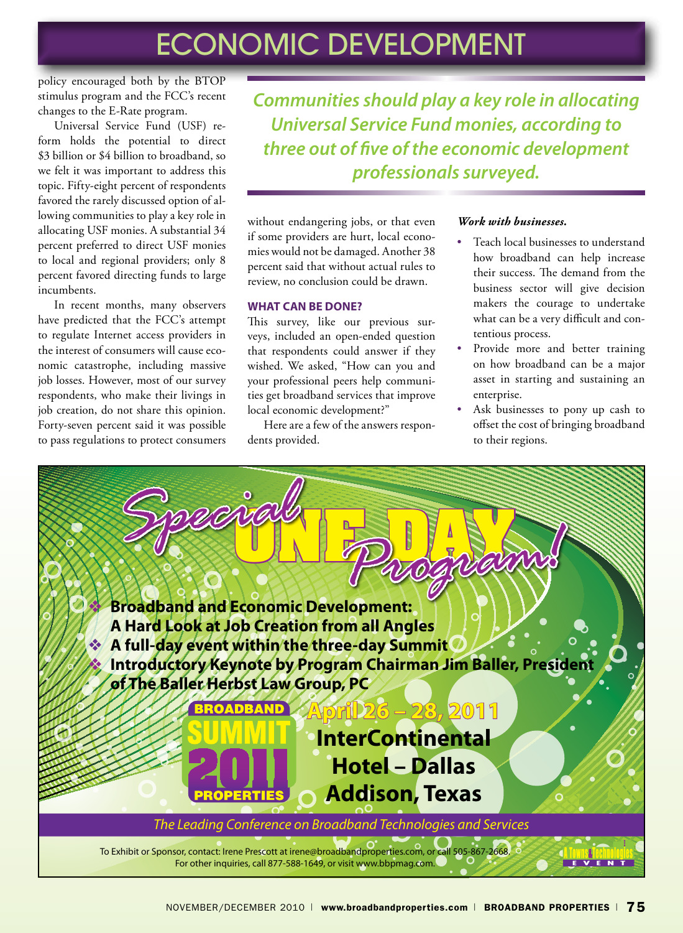policy encouraged both by the BTOP stimulus program and the FCC's recent changes to the E-Rate program.

Universal Service Fund (USF) reform holds the potential to direct \$3 billion or \$4 billion to broadband, so we felt it was important to address this topic. Fifty-eight percent of respondents favored the rarely discussed option of allowing communities to play a key role in allocating USF monies. A substantial 34 percent preferred to direct USF monies to local and regional providers; only 8 percent favored directing funds to large incumbents.

In recent months, many observers have predicted that the FCC's attempt to regulate Internet access providers in the interest of consumers will cause economic catastrophe, including massive job losses. However, most of our survey respondents, who make their livings in job creation, do not share this opinion. Forty-seven percent said it was possible to pass regulations to protect consumers

*Communities should play a key role in allocating Universal Service Fund monies, according to three out of five of the economic development professionals surveyed.*

without endangering jobs, or that even if some providers are hurt, local economies would not be damaged. Another 38 percent said that without actual rules to review, no conclusion could be drawn.

#### **What Can Be Done?**

This survey, like our previous surveys, included an open-ended question that respondents could answer if they wished. We asked, "How can you and your professional peers help communities get broadband services that improve local economic development?"

Here are a few of the answers respondents provided.

#### *Work with businesses.*

- Teach local businesses to understand how broadband can help increase their success. The demand from the business sector will give decision makers the courage to undertake what can be a very difficult and contentious process.
- Provide more and better training on how broadband can be a major asset in starting and sustaining an enterprise.
- Ask businesses to pony up cash to offset the cost of bringing broadband to their regions.

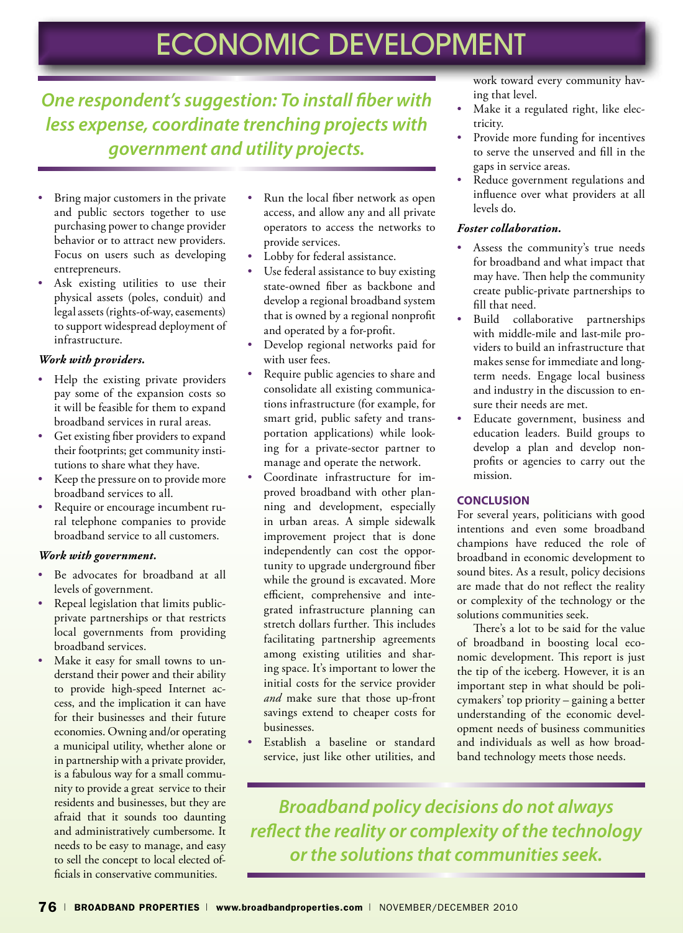### *One respondent's suggestion: To install fiber with less expense, coordinate trenching projects with government and utility projects.*

- Bring major customers in the private and public sectors together to use purchasing power to change provider behavior or to attract new providers. Focus on users such as developing entrepreneurs.
- Ask existing utilities to use their physical assets (poles, conduit) and legal assets (rights-of-way, easements) to support widespread deployment of infrastructure.

#### *Work with providers.*

- Help the existing private providers pay some of the expansion costs so it will be feasible for them to expand broadband services in rural areas.
- Get existing fiber providers to expand their footprints; get community institutions to share what they have.
- Keep the pressure on to provide more broadband services to all.
- Require or encourage incumbent rural telephone companies to provide broadband service to all customers.

#### *Work with government.*

- Be advocates for broadband at all levels of government.
- Repeal legislation that limits publicprivate partnerships or that restricts local governments from providing broadband services.
- Make it easy for small towns to understand their power and their ability to provide high-speed Internet access, and the implication it can have for their businesses and their future economies. Owning and/or operating a municipal utility, whether alone or in partnership with a private provider, is a fabulous way for a small community to provide a great service to their residents and businesses, but they are afraid that it sounds too daunting and administratively cumbersome. It needs to be easy to manage, and easy to sell the concept to local elected officials in conservative communities.
- Run the local fiber network as open access, and allow any and all private operators to access the networks to provide services.
- Lobby for federal assistance.
- Use federal assistance to buy existing state-owned fiber as backbone and develop a regional broadband system that is owned by a regional nonprofit and operated by a for-profit.
- Develop regional networks paid for with user fees.
- Require public agencies to share and consolidate all existing communications infrastructure (for example, for smart grid, public safety and transportation applications) while looking for a private-sector partner to manage and operate the network.
- Coordinate infrastructure for improved broadband with other planning and development, especially in urban areas. A simple sidewalk improvement project that is done independently can cost the opportunity to upgrade underground fiber while the ground is excavated. More efficient, comprehensive and integrated infrastructure planning can stretch dollars further. This includes facilitating partnership agreements among existing utilities and sharing space. It's important to lower the initial costs for the service provider *and* make sure that those up-front savings extend to cheaper costs for businesses.
- Establish a baseline or standard service, just like other utilities, and

work toward every community having that level.

- Make it a regulated right, like electricity.
- Provide more funding for incentives to serve the unserved and fill in the gaps in service areas.
- Reduce government regulations and influence over what providers at all levels do.

#### *Foster collaboration.*

- Assess the community's true needs for broadband and what impact that may have. Then help the community create public-private partnerships to fill that need.
- Build collaborative partnerships with middle-mile and last-mile providers to build an infrastructure that makes sense for immediate and longterm needs. Engage local business and industry in the discussion to ensure their needs are met.
- Educate government, business and education leaders. Build groups to develop a plan and develop nonprofits or agencies to carry out the mission.

#### **Conclusion**

For several years, politicians with good intentions and even some broadband champions have reduced the role of broadband in economic development to sound bites. As a result, policy decisions are made that do not reflect the reality or complexity of the technology or the solutions communities seek.

There's a lot to be said for the value of broadband in boosting local economic development. This report is just the tip of the iceberg. However, it is an important step in what should be policymakers' top priority – gaining a better understanding of the economic development needs of business communities and individuals as well as how broadband technology meets those needs.

*Broadband policy decisions do not always reflect the reality or complexity of the technology or the solutions that communities seek.*